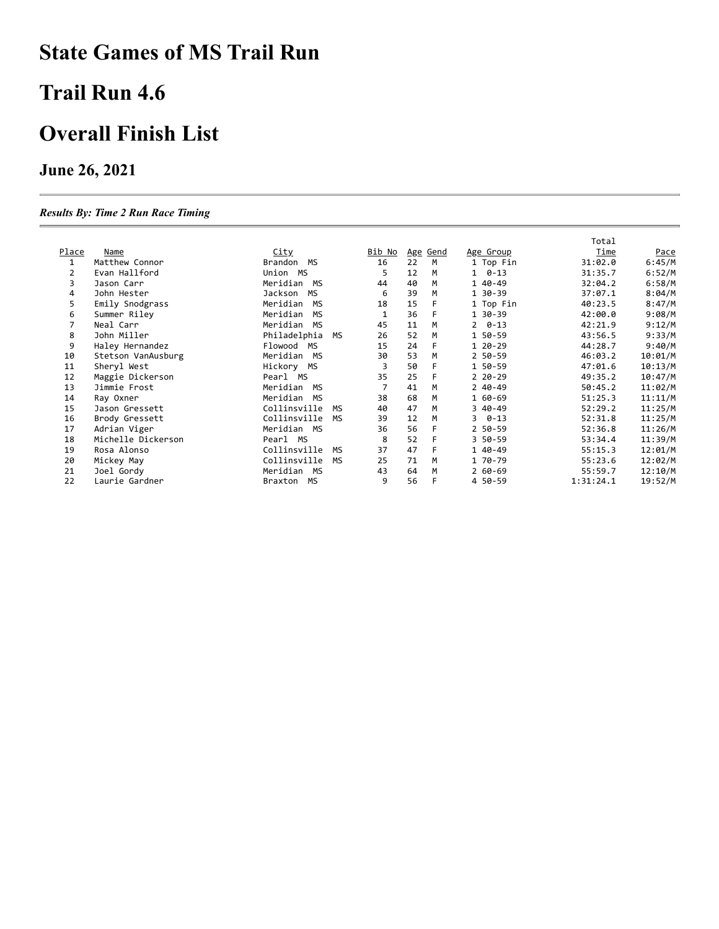# **State Games of MS Trail Run**

### **Trail Run 4.6**

### **Overall Finish List**

#### **June 26, 2021**

#### *Results By: Time 2 Run Race Timing*

|              |                    |                       |               |    |          |                | Total       |             |
|--------------|--------------------|-----------------------|---------------|----|----------|----------------|-------------|-------------|
| <u>Place</u> | <b>Name</b>        | <u>City</u>           | <u>Bib No</u> |    | Age Gend | Age Group      | <b>Time</b> | <u>Pace</u> |
| 1            | Matthew Connor     | Brandon<br>МS         | 16            | 22 | M        | 1 Top Fin      | 31:02.0     | 6:45/M      |
| 2            | Evan Hallford      | Union MS              | 5             | 12 | M        | $1 \quad 0-13$ | 31:35.7     | 6:52/M      |
| 3            | Jason Carr         | Meridian<br>MS        | 44            | 40 | M        | 1 40-49        | 32:04.2     | 6:58/M      |
| 4            | John Hester        | <b>MS</b><br>Jackson  | 6             | 39 | M        | 1 30-39        | 37:07.1     | 8:04/M      |
| 5            | Emily Snodgrass    | Meridian<br><b>MS</b> | 18            | 15 | F        | 1 Top Fin      | 40:23.5     | 8:47/M      |
| 6            | Summer Riley       | Meridian<br>MS        |               | 36 | F        | 1 30-39        | 42:00.0     | 9:08/M      |
|              | Neal Carr          | Meridian MS           | 45            | 11 | M        | $2 \quad 0-13$ | 42:21.9     | 9:12/M      |
| 8            | John Miller        | Philadelphia<br>MS    | 26            | 52 | M        | 1 50-59        | 43:56.5     | 9:33/M      |
| 9            | Haley Hernandez    | Flowood<br>MS         | 15            | 24 | F        | 1 20-29        | 44:28.7     | 9:40/M      |
| 10           | Stetson VanAusburg | Meridian MS           | 30            | 53 | M        | 2 50-59        | 46:03.2     | 10:01/M     |
| 11           | Sheryl West        | Hickory MS            | 3             | 50 | F        | 1 50-59        | 47:01.6     | 10:13/M     |
| 12           | Maggie Dickerson   | Pearl MS              | 35            | 25 | F        | $220 - 29$     | 49:35.2     | 10:47/M     |
| 13           | Jimmie Frost       | Meridian MS           |               | 41 | M        | $240-49$       | 50:45.2     | 11:02/M     |
| 14           | Ray Oxner          | Meridian MS           | 38            | 68 | M        | 1 60-69        | 51:25.3     | 11:11/M     |
| 15           | Jason Gressett     | Collinsville<br>MS    | 40            | 47 | M        | 3 40-49        | 52:29.2     | 11:25/M     |
| 16           | Brody Gressett     | Collinsville<br>MS    | 39            | 12 | M        | $30 - 13$      | 52:31.8     | 11:25/M     |
| 17           | Adrian Viger       | Meridian MS           | 36            | 56 | F        | 2 50-59        | 52:36.8     | 11:26/M     |
| 18           | Michelle Dickerson | Pearl MS              | 8             | 52 | F        | 3 50-59        | 53:34.4     | 11:39/M     |
| 19           | Rosa Alonso        | Collinsville<br>MS    | 37            | 47 | F        | 1 40-49        | 55:15.3     | 12:01/M     |
| 20           | Mickey May         | Collinsville<br>MS    | 25            | 71 | M        | 1 70-79        | 55:23.6     | 12:02/M     |
| 21           | Joel Gordy         | Meridian MS           | 43            | 64 | M        | $260 - 69$     | 55:59.7     | 12:10/M     |
| 22           | Laurie Gardner     | Braxton MS            | 9             | 56 | F        | 4 50-59        | 1:31:24.1   | 19:52/M     |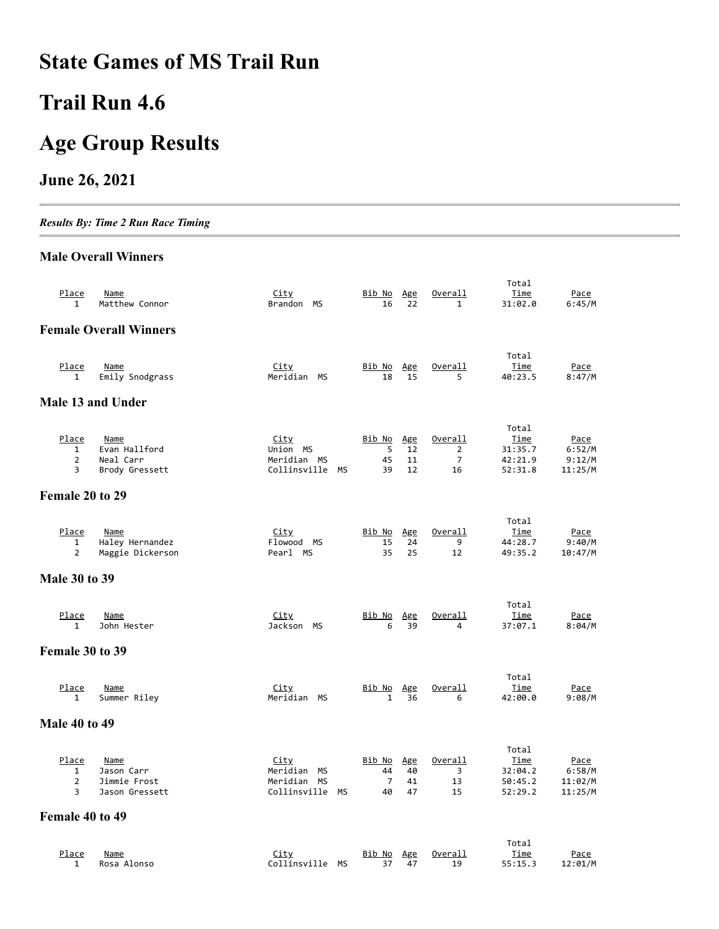# **State Games of MS Trail Run**

# **Trail Run 4.6**

# **Age Group Results**

#### **June 26, 2021**

*Results By: Time 2 Run Race Timing*

#### **Male Overall Winners**

| Place<br>1                                           | Name<br>Matthew Connor                                      | <u>City</u><br>Brandon MS                                       | Bib No<br>16                                | <u>Age</u><br>22      | Overall<br>$\mathbf{1}$                           | Total<br>Time<br>31:02.0                              | <u>Pace</u><br>6:45/M                       |
|------------------------------------------------------|-------------------------------------------------------------|-----------------------------------------------------------------|---------------------------------------------|-----------------------|---------------------------------------------------|-------------------------------------------------------|---------------------------------------------|
|                                                      | <b>Female Overall Winners</b>                               |                                                                 |                                             |                       |                                                   |                                                       |                                             |
| <u>Place</u><br>$\mathbf{1}$                         | <u>Name</u><br>Emily Snodgrass                              | <u>City</u><br>Meridian MS                                      | <u>Bib No</u><br>18                         | <u>Age</u><br>15      | Overall<br>5                                      | Total<br>Time<br>40:23.5                              | <u>Pace</u><br>8:47/M                       |
|                                                      | Male 13 and Under                                           |                                                                 |                                             |                       |                                                   |                                                       |                                             |
| Place<br>1<br>$\overline{2}$<br>3                    | <u>Name</u><br>Evan Hallford<br>Neal Carr<br>Brody Gressett | City<br>Union MS<br>Meridian MS<br>Collinsville MS              | <u>Bib No</u><br>5<br>45<br>39              | Age<br>12<br>11<br>12 | Overall<br>$\overline{2}$<br>$\overline{7}$<br>16 | Total<br><u>Time</u><br>31:35.7<br>42:21.9<br>52:31.8 | Pace<br>6:52/M<br>9:12/M<br>11:25/M         |
| Female 20 to 29                                      |                                                             |                                                                 |                                             |                       |                                                   |                                                       |                                             |
| Place<br>$\mathbf{1}$<br>$\overline{2}$              | Name<br>Haley Hernandez<br>Maggie Dickerson                 | <u>City</u><br>Flowood MS<br>Pearl MS                           | Bib No<br>15<br>35                          | Age<br>24<br>25       | Overall<br>9<br>12                                | Total<br>Time<br>44:28.7<br>49:35.2                   | Pace<br>9:40/M<br>10:47/M                   |
| <b>Male 30 to 39</b>                                 |                                                             |                                                                 |                                             |                       |                                                   |                                                       |                                             |
| <u>Place</u><br>1                                    | Name<br>John Hester                                         | <u>City</u><br>Jackson MS                                       | <u>Bib No</u><br>6                          | Age<br>39             | Overall<br>4                                      | Total<br><u>Time</u><br>37:07.1                       | <u>Pace</u><br>8:04/M                       |
| Female 30 to 39                                      |                                                             |                                                                 |                                             |                       |                                                   |                                                       |                                             |
| <u>Place</u><br>$\mathbf{1}$                         | <u>Name</u><br>Summer Riley                                 | <b>City</b><br>Meridian MS                                      | <u>Bib No</u><br>$\mathbf{1}$               | Age<br>36             | <u>Overall</u><br>6                               | Total<br>Time<br>42:00.0                              | <u>Pace</u><br>9:08/M                       |
| <b>Male 40 to 49</b>                                 |                                                             |                                                                 |                                             |                       |                                                   |                                                       |                                             |
| Place<br>1<br>$\overline{2}$<br>3<br>Female 40 to 49 | Name<br>Jason Carr<br>Jimmie Frost<br>Jason Gressett        | <u>City</u><br>Meridian<br>МS<br>Meridian MS<br>Collinsville MS | <u>Bib No</u><br>44<br>$\overline{7}$<br>40 | Age<br>40<br>41<br>47 | Overall<br>3<br>13<br>15                          | Total<br><u>Time</u><br>32:04.2<br>50:45.2<br>52:29.2 | <u>Pace</u><br>6:58/M<br>11:02/M<br>11:25/M |
|                                                      |                                                             |                                                                 |                                             |                       |                                                   | Total                                                 |                                             |
| Place<br>1                                           | Name<br>Rosa Alonso                                         | City<br><b>MS</b><br>Collinsville                               | Bib No<br>37                                | <u>Age</u><br>47      | Overall<br>19                                     | Time<br>55:15.3                                       | Pace<br>12:01/M                             |